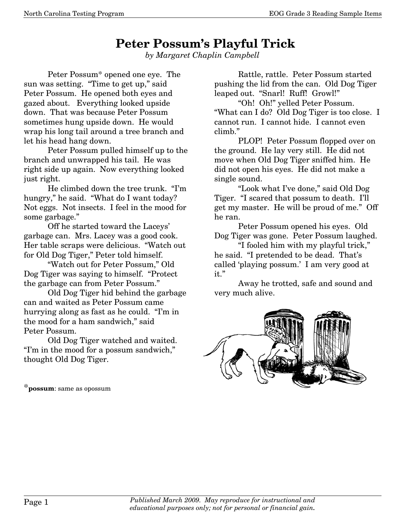## **Peter Possum's Playful Trick**

*by Margaret Chaplin Campbell* 

Peter Possum\* opened one eye. The sun was setting. "Time to get up," said Peter Possum. He opened both eyes and gazed about. Everything looked upside down. That was because Peter Possum sometimes hung upside down. He would wrap his long tail around a tree branch and let his head hang down.

 Peter Possum pulled himself up to the branch and unwrapped his tail. He was right side up again. Now everything looked just right.

 He climbed down the tree trunk. "I'm hungry," he said. "What do I want today? Not eggs. Not insects. I feel in the mood for some garbage."

 Off he started toward the Laceys' garbage can. Mrs. Lacey was a good cook. Her table scraps were delicious. "Watch out for Old Dog Tiger," Peter told himself.

 "Watch out for Peter Possum," Old Dog Tiger was saying to himself. "Protect the garbage can from Peter Possum."

 Old Dog Tiger hid behind the garbage can and waited as Peter Possum came hurrying along as fast as he could. "I'm in the mood for a ham sandwich," said Peter Possum.

 Old Dog Tiger watched and waited. "I'm in the mood for a possum sandwich," thought Old Dog Tiger.

\***possum**: same as opossum

Rattle, rattle. Peter Possum started pushing the lid from the can. Old Dog Tiger leaped out. "Snarl! Ruff! Growl!"

 "Oh! Oh!" yelled Peter Possum. "What can I do? Old Dog Tiger is too close. I cannot run. I cannot hide. I cannot even climb."

 PLOP! Peter Possum flopped over on the ground. He lay very still. He did not move when Old Dog Tiger sniffed him. He did not open his eyes. He did not make a single sound.

 "Look what I've done," said Old Dog Tiger. "I scared that possum to death. I'll get my master. He will be proud of me." Off he ran.

 Peter Possum opened his eyes. Old Dog Tiger was gone. Peter Possum laughed.

 "I fooled him with my playful trick," he said. "I pretended to be dead. That's called 'playing possum.' I am very good at it."

 Away he trotted, safe and sound and very much alive.

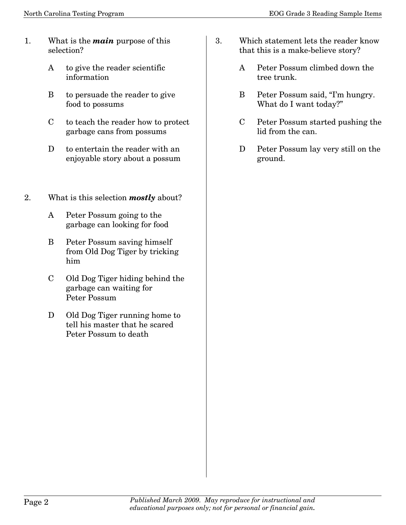- 1. What is the *main* purpose of this selection?
	- A to give the reader scientific information
	- B to persuade the reader to give food to possums
	- C to teach the reader how to protect garbage cans from possums
	- D to entertain the reader with an enjoyable story about a possum
- 2. What is this selection *mostly* about?
	- A Peter Possum going to the garbage can looking for food
	- B Peter Possum saving himself from Old Dog Tiger by tricking him
	- C Old Dog Tiger hiding behind the garbage can waiting for Peter Possum
	- D Old Dog Tiger running home to tell his master that he scared Peter Possum to death
- 3. Which statement lets the reader know that this is a make-believe story?
	- A Peter Possum climbed down the tree trunk.
	- B Peter Possum said, "I'm hungry. What do I want today?"
	- C Peter Possum started pushing the lid from the can.
	- D Peter Possum lay very still on the ground.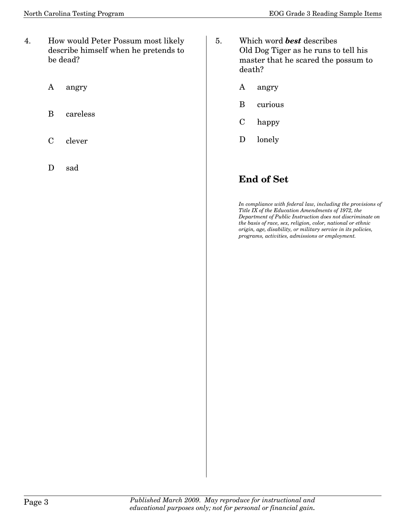- 4. How would Peter Possum most likely describe himself when he pretends to be dead?
	- A angry
	- B careless
	- C clever
	- D sad
- 5. Which word *best* describes Old Dog Tiger as he runs to tell his master that he scared the possum to death?
	- A angry
	- B curious
	- C happy
	- D lonely

## **End of Set**

*In compliance with federal law, including the provisions of Title IX of the Education Amendments of 1972, the Department of Public Instruction does not discriminate on the basis of race, sex, religion, color, national or ethnic origin, age, disability, or military service in its policies, programs, activities, admissions or employment.*